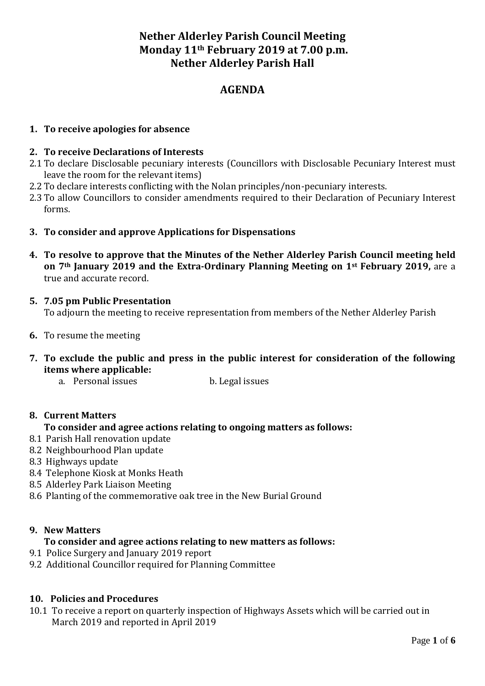# **Nether Alderley Parish Council Meeting Monday 11th February 2019 at 7.00 p.m. Nether Alderley Parish Hall**

# **AGENDA**

## **1. To receive apologies for absence**

#### **2. To receive Declarations of Interests**

- 2.1 To declare Disclosable pecuniary interests (Councillors with Disclosable Pecuniary Interest must leave the room for the relevant items)
- 2.2 To declare interests conflicting with the Nolan principles/non-pecuniary interests.
- 2.3 To allow Councillors to consider amendments required to their Declaration of Pecuniary Interest forms.
- **3. To consider and approve Applications for Dispensations**
- **4. To resolve to approve that the Minutes of the Nether Alderley Parish Council meeting held on 7th January 2019 and the Extra-Ordinary Planning Meeting on 1st February 2019,** are a true and accurate record.
- **5. 7.05 pm Public Presentation** To adjourn the meeting to receive representation from members of the Nether Alderley Parish
- **6.** To resume the meeting
- **7. To exclude the public and press in the public interest for consideration of the following items where applicable:**
	- a. Personal issues b. Legal issues

#### **8. Current Matters**

## **To consider and agree actions relating to ongoing matters as follows:**

- 8.1 Parish Hall renovation update
- 8.2 Neighbourhood Plan update
- 8.3 Highways update
- 8.4 Telephone Kiosk at Monks Heath
- 8.5 Alderley Park Liaison Meeting
- 8.6 Planting of the commemorative oak tree in the New Burial Ground

#### **9. New Matters**

## **To consider and agree actions relating to new matters as follows:**

- 9.1 Police Surgery and January 2019 report
- 9.2 Additional Councillor required for Planning Committee

#### **10. Policies and Procedures**

10.1 To receive a report on quarterly inspection of Highways Assets which will be carried out in March 2019 and reported in April 2019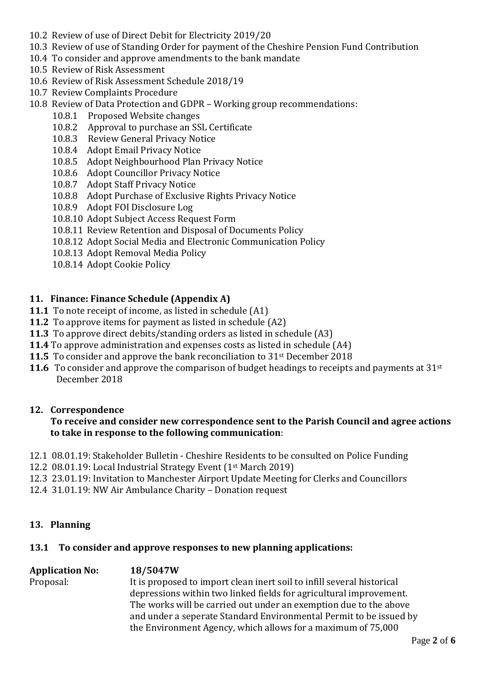- 10.2 Review of use of Direct Debit for Electricity 2019/20
- 10.3 Review of use of Standing Order for payment of the Cheshire Pension Fund Contribution
- 10.4 To consider and approve amendments to the bank mandate
- 10.5 Review of Risk Assessment
- 10.6 Review of Risk Assessment Schedule 2018/19
- 10.7 Review Complaints Procedure
- 10.8 Review of Data Protection and GDPR Working group recommendations:
	- 10.8.1 Proposed Website changes
	- 10.8.2 Approval to purchase an SSL Certificate
	- 10.8.3 Review General Privacy Notice
	- 10.8.4 Adopt Email Privacy Notice
	- 10.8.5 Adopt Neighbourhood Plan Privacy Notice
	- 10.8.6 Adopt Councillor Privacy Notice
	- 10.8.7 Adopt Staff Privacy Notice
	- 10.8.8 Adopt Purchase of Exclusive Rights Privacy Notice
	- 10.8.9 Adopt FOI Disclosure Log
	- 10.8.10 Adopt Subject Access Request Form
	- 10.8.11 Review Retention and Disposal of Documents Policy
	- 10.8.12 Adopt Social Media and Electronic Communication Policy
	- 10.8.13 Adopt Removal Media Policy
	- 10.8.14 Adopt Cookie Policy

# **11. Finance: Finance Schedule (Appendix A)**

- **11.1** To note receipt of income, as listed in schedule (A1)
- **11.2** To approve items for payment as listed in schedule (A2)
- **11.3** To approve direct debits/standing orders as listed in schedule (A3)
- **11.4** To approve administration and expenses costs as listed in schedule (A4)
- **11.5** To consider and approve the bank reconciliation to 31<sup>st</sup> December 2018
- **11.6** To consider and approve the comparison of budget headings to receipts and payments at 31<sup>st</sup> December 2018

## **12. Correspondence**

## **To receive and consider new correspondence sent to the Parish Council and agree actions to take in response to the following communication**:

- 12.1 08.01.19: Stakeholder Bulletin Cheshire Residents to be consulted on Police Funding
- 12.2 08.01.19: Local Industrial Strategy Event (1st March 2019)
- 12.3 23.01.19: Invitation to Manchester Airport Update Meeting for Clerks and Councillors
- 12.4 31.01.19: NW Air Ambulance Charity Donation request

## **13. Planning**

# **13.1 To consider and approve responses to new planning applications:**

# **Application No: 18/5047W**

Proposal: It is proposed to import clean inert soil to infill several historical depressions within two linked fields for agricultural improvement. The works will be carried out under an exemption due to the above and under a seperate Standard Environmental Permit to be issued by the Environment Agency, which allows for a maximum of 75,000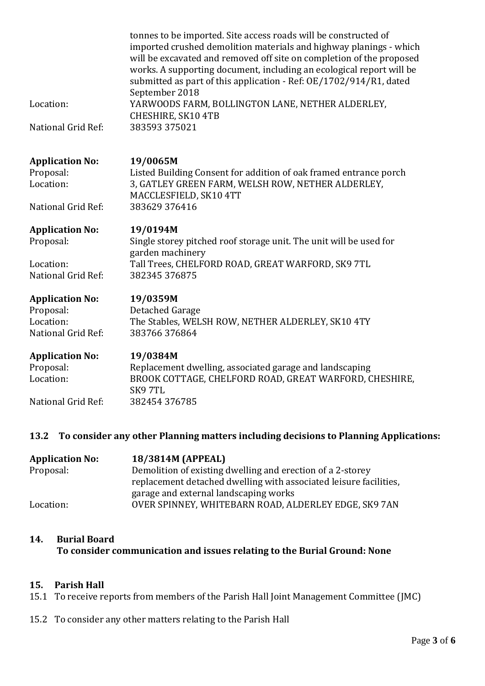|                                                                        | tonnes to be imported. Site access roads will be constructed of<br>imported crushed demolition materials and highway planings - which<br>will be excavated and removed off site on completion of the proposed<br>works. A supporting document, including an ecological report will be<br>submitted as part of this application - Ref: OE/1702/914/R1, dated<br>September 2018 |
|------------------------------------------------------------------------|-------------------------------------------------------------------------------------------------------------------------------------------------------------------------------------------------------------------------------------------------------------------------------------------------------------------------------------------------------------------------------|
| Location:                                                              | YARWOODS FARM, BOLLINGTON LANE, NETHER ALDERLEY,<br>CHESHIRE, SK10 4TB                                                                                                                                                                                                                                                                                                        |
| National Grid Ref:                                                     | 383593 375021                                                                                                                                                                                                                                                                                                                                                                 |
| <b>Application No:</b><br>Proposal:<br>Location:                       | 19/0065M<br>Listed Building Consent for addition of oak framed entrance porch<br>3, GATLEY GREEN FARM, WELSH ROW, NETHER ALDERLEY,<br>MACCLESFIELD, SK10 4TT                                                                                                                                                                                                                  |
| National Grid Ref:                                                     | 383629 376416                                                                                                                                                                                                                                                                                                                                                                 |
| <b>Application No:</b><br>Proposal:<br>Location:<br>National Grid Ref: | 19/0194M<br>Single storey pitched roof storage unit. The unit will be used for<br>garden machinery<br>Tall Trees, CHELFORD ROAD, GREAT WARFORD, SK9 7TL<br>382345 376875                                                                                                                                                                                                      |
| <b>Application No:</b><br>Proposal:<br>Location:<br>National Grid Ref: | 19/0359M<br>Detached Garage<br>The Stables, WELSH ROW, NETHER ALDERLEY, SK10 4TY<br>383766376864                                                                                                                                                                                                                                                                              |
| <b>Application No:</b><br>Proposal:<br>Location:                       | 19/0384M<br>Replacement dwelling, associated garage and landscaping<br>BROOK COTTAGE, CHELFORD ROAD, GREAT WARFORD, CHESHIRE,                                                                                                                                                                                                                                                 |
| National Grid Ref:                                                     | SK97TL<br>382454 376785                                                                                                                                                                                                                                                                                                                                                       |

# **13.2 To consider any other Planning matters including decisions to Planning Applications:**

| <b>Application No:</b> | 18/3814M (APPEAL)                                                 |
|------------------------|-------------------------------------------------------------------|
| Proposal:              | Demolition of existing dwelling and erection of a 2-storey        |
|                        | replacement detached dwelling with associated leisure facilities, |
|                        | garage and external landscaping works                             |
| Location:              | OVER SPINNEY, WHITEBARN ROAD, ALDERLEY EDGE, SK9 7AN              |

## **14. Burial Board To consider communication and issues relating to the Burial Ground: None**

## **15. Parish Hall**

- 15.1 To receive reports from members of the Parish Hall Joint Management Committee (JMC)
- 15.2 To consider any other matters relating to the Parish Hall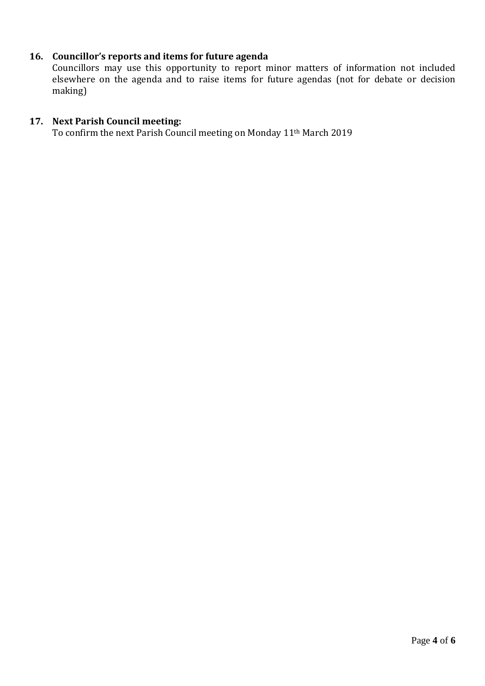# **16. Councillor's reports and items for future agenda**

Councillors may use this opportunity to report minor matters of information not included elsewhere on the agenda and to raise items for future agendas (not for debate or decision making)

# **17. Next Parish Council meeting:**

To confirm the next Parish Council meeting on Monday 11th March 2019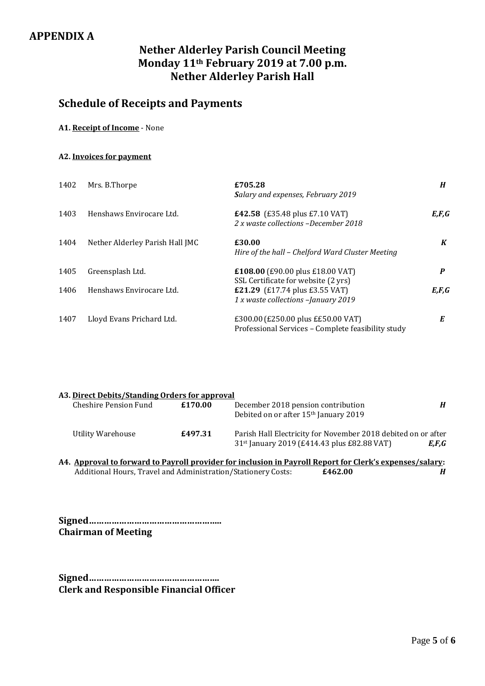# **APPENDIX A**

# **Nether Alderley Parish Council Meeting Monday 11th February 2019 at 7.00 p.m. Nether Alderley Parish Hall**

# **Schedule of Receipts and Payments**

#### **A1. Receipt of Income** - None

#### **A2. Invoices for payment**

| 1402 | Mrs. B.Thorpe                   | £705.28<br>Salary and expenses, February 2019                                            | H       |
|------|---------------------------------|------------------------------------------------------------------------------------------|---------|
| 1403 | Henshaws Envirocare Ltd.        | <b>£42.58</b> (£35.48 plus £7.10 VAT)<br>2 x waste collections -December 2018            | E, F, G |
| 1404 | Nether Alderley Parish Hall JMC | £30.00<br>Hire of the hall - Chelford Ward Cluster Meeting                               | K       |
| 1405 | Greensplash Ltd.                | £108.00 (£90.00 plus £18.00 VAT)<br>SSL Certificate for website (2 yrs)                  | P       |
| 1406 | Henshaws Envirocare Ltd.        | <b>£21.29</b> (£17.74 plus £3.55 VAT)<br>1 x waste collections -January 2019             | E, F, G |
| 1407 | Lloyd Evans Prichard Ltd.       | £300.00 (£250.00 plus ££50.00 VAT)<br>Professional Services – Complete feasibility study | E       |

| A3. Direct Debits/Standing Orders for approval |         |                                                                                                                          |       |  |
|------------------------------------------------|---------|--------------------------------------------------------------------------------------------------------------------------|-------|--|
| Cheshire Pension Fund                          | £170.00 | December 2018 pension contribution<br>Debited on or after 15 <sup>th</sup> January 2019                                  | Н     |  |
| Utility Warehouse                              | £497.31 | Parish Hall Electricity for November 2018 debited on or after<br>31 <sup>st</sup> January 2019 (£414.43 plus £82.88 VAT) | E.F.G |  |

| A4. Approval to forward to Payroll provider for inclusion in Payroll Report for Clerk's expenses/salary: |         |  |
|----------------------------------------------------------------------------------------------------------|---------|--|
| Additional Hours, Travel and Administration/Stationery Costs:                                            | £462.00 |  |

**Signed…………………………………………….. Chairman of Meeting**

**Signed……………………………………………. Clerk and Responsible Financial Officer**